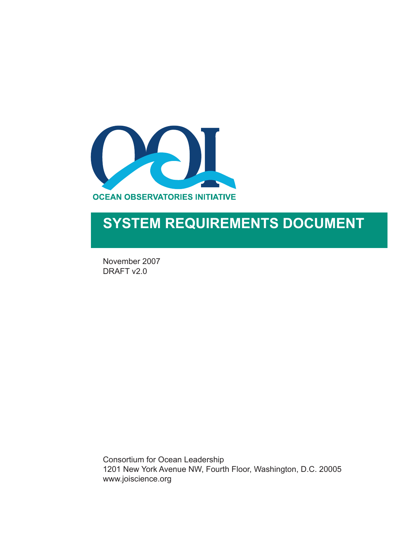

# **SYSTEM REQUIREMENTS DOCUMENT**

November 2007 DRAFT v2.0

Consortium for Ocean Leadership 1201 New York Avenue NW, Fourth Floor, Washington, D.C. 20005 www.joiscience.org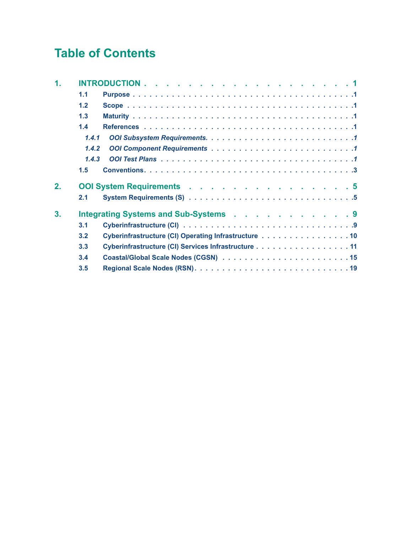## **Table of Contents**

| 1. |       |                                                      |
|----|-------|------------------------------------------------------|
|    | 1.1   |                                                      |
|    | 1.2   |                                                      |
|    | 1.3   |                                                      |
|    | 1.4   |                                                      |
|    | 1,4.1 |                                                      |
|    | 1.4.2 |                                                      |
|    | 1.4.3 |                                                      |
|    | 1.5   |                                                      |
| 2. |       | <b>OOI System Requirements .</b> 5                   |
|    | 2.1   |                                                      |
| 3. |       | Integrating Systems and Sub-Systems 9                |
|    | 3.1   |                                                      |
|    | 3.2   | Cyberinfrastructure (CI) Operating Infrastructure 10 |
|    | 3.3   | Cyberinfrastructure (CI) Services Infrastructure 11  |
|    | 3.4   |                                                      |
|    | 3.5   |                                                      |
|    |       |                                                      |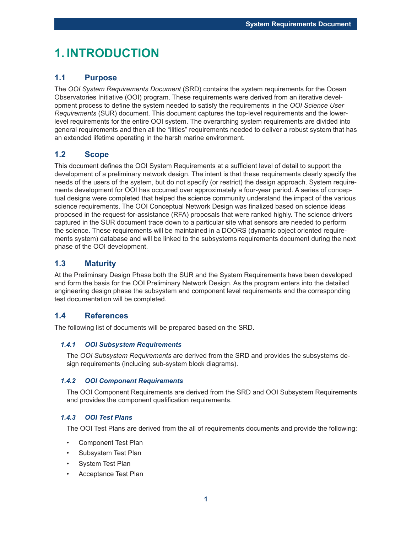## **1. INTRODUCTION**

### **1.1 Purpose**

The *OOI System Requirements Document* (SRD) contains the system requirements for the Ocean Observatories Initiative (OOI) program. These requirements were derived from an iterative development process to define the system needed to satisfy the requirements in the *OOI Science User Requirements* (SUR) document. This document captures the top-level requirements and the lowerlevel requirements for the entire OOI system. The overarching system requirements are divided into general requirements and then all the "ilities" requirements needed to deliver a robust system that has an extended lifetime operating in the harsh marine environment.

### **1.2 Scope**

This document defines the OOI System Requirements at a sufficient level of detail to support the development of a preliminary network design. The intent is that these requirements clearly specify the needs of the users of the system, but do not specify (or restrict) the design approach. System requirements development for OOI has occurred over approximately a four-year period. A series of conceptual designs were completed that helped the science community understand the impact of the various science requirements. The OOI Conceptual Network Design was finalized based on science ideas proposed in the request-for-assistance (RFA) proposals that were ranked highly. The science drivers captured in the SUR document trace down to a particular site what sensors are needed to perform the science. These requirements will be maintained in a DOORS (dynamic object oriented requirements system) database and will be linked to the subsystems requirements document during the next phase of the OOI development.

### **1.3 Maturity**

At the Preliminary Design Phase both the SUR and the System Requirements have been developed and form the basis for the OOI Preliminary Network Design. As the program enters into the detailed engineering design phase the subsystem and component level requirements and the corresponding test documentation will be completed.

### **1.4 References**

The following list of documents will be prepared based on the SRD.

#### *1.4.1 OOI Subsystem Requirements*

The *OOI Subsystem Requirements* are derived from the SRD and provides the subsystems design requirements (including sub-system block diagrams).

#### *1.4.2 OOI Component Requirements*

The OOI Component Requirements are derived from the SRD and OOI Subsystem Requirements and provides the component qualification requirements.

#### *1.4.3 OOI Test Plans*

The OOI Test Plans are derived from the all of requirements documents and provide the following:

- Component Test Plan
- Subsystem Test Plan
- System Test Plan
- Acceptance Test Plan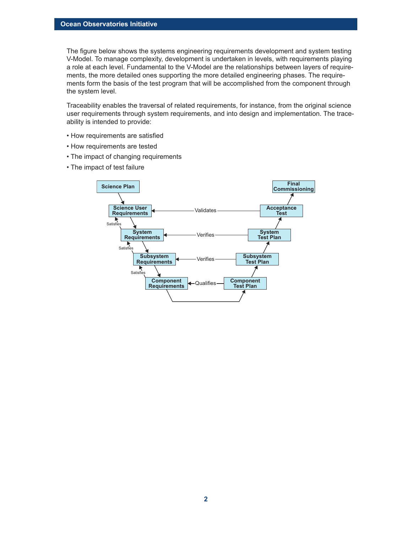The figure below shows the systems engineering requirements development and system testing V-Model. To manage complexity, development is undertaken in levels, with requirements playing a role at each level. Fundamental to the V-Model are the relationships between layers of requirements, the more detailed ones supporting the more detailed engineering phases. The requirements form the basis of the test program that will be accomplished from the component through the system level.

Traceability enables the traversal of related requirements, for instance, from the original science user requirements through system requirements, and into design and implementation. The traceability is intended to provide:

- How requirements are satisfied
- How requirements are tested
- The impact of changing requirements
- The impact of test failure

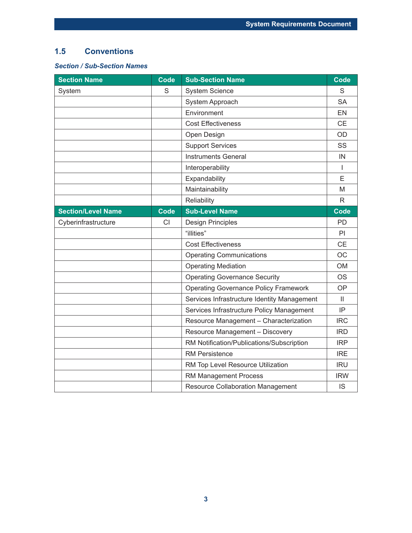### **1.5 Conventions**

### *Section / Sub-Section Names*

| <b>Section Name</b>       | <b>Code</b> | <b>Sub-Section Name</b>                      | <b>Code</b>  |
|---------------------------|-------------|----------------------------------------------|--------------|
| System                    | S           | <b>System Science</b>                        | S            |
|                           |             | System Approach                              | <b>SA</b>    |
|                           |             | Environment                                  | <b>EN</b>    |
|                           |             | <b>Cost Effectiveness</b>                    | <b>CE</b>    |
|                           |             | Open Design                                  | OD           |
|                           |             | <b>Support Services</b>                      | SS           |
|                           |             | <b>Instruments General</b>                   | IN           |
|                           |             | Interoperability                             | T            |
|                           |             | Expandability                                | E            |
|                           |             | Maintainability                              | M            |
|                           |             | Reliability                                  | R            |
| <b>Section/Level Name</b> | <b>Code</b> | <b>Sub-Level Name</b>                        | <b>Code</b>  |
| Cyberinfrastructure       | <b>CI</b>   | <b>Design Principles</b>                     | PD.          |
|                           |             | "illities"                                   | PI           |
|                           |             | <b>Cost Effectiveness</b>                    | <b>CE</b>    |
|                           |             | <b>Operating Communications</b>              | OC           |
|                           |             | <b>Operating Mediation</b>                   | <b>OM</b>    |
|                           |             | <b>Operating Governance Security</b>         | <b>OS</b>    |
|                           |             | <b>Operating Governance Policy Framework</b> | <b>OP</b>    |
|                           |             | Services Infrastructure Identity Management  | $\mathbf{H}$ |
|                           |             | Services Infrastructure Policy Management    | IP           |
|                           |             | Resource Management - Characterization       | <b>IRC</b>   |
|                           |             | Resource Management - Discovery              | <b>IRD</b>   |
|                           |             | RM Notification/Publications/Subscription    | <b>IRP</b>   |
|                           |             | <b>RM Persistence</b>                        | <b>IRE</b>   |
|                           |             | RM Top Level Resource Utilization            | <b>IRU</b>   |
|                           |             | RM Management Process                        | <b>IRW</b>   |
|                           |             | <b>Resource Collaboration Management</b>     | <b>IS</b>    |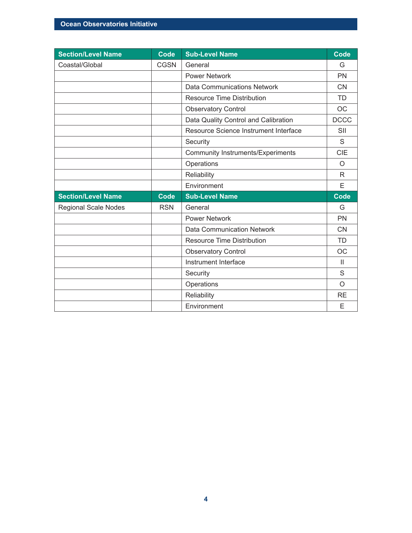| <b>Section/Level Name</b>   | <b>Code</b> | <b>Sub-Level Name</b>                    | <b>Code</b>  |
|-----------------------------|-------------|------------------------------------------|--------------|
| Coastal/Global              | <b>CGSN</b> | General                                  | G            |
|                             |             | <b>Power Network</b>                     | <b>PN</b>    |
|                             |             | <b>Data Communications Network</b>       | <b>CN</b>    |
|                             |             | <b>Resource Time Distribution</b>        | <b>TD</b>    |
|                             |             | <b>Observatory Control</b>               | <b>OC</b>    |
|                             |             | Data Quality Control and Calibration     | <b>DCCC</b>  |
|                             |             | Resource Science Instrument Interface    | SII          |
|                             |             | Security                                 | S            |
|                             |             | <b>Community Instruments/Experiments</b> | <b>CIE</b>   |
|                             |             | Operations                               | O            |
|                             |             | Reliability                              | R.           |
|                             |             | Environment                              |              |
|                             |             |                                          | E            |
| <b>Section/Level Name</b>   | Code        | <b>Sub-Level Name</b>                    | <b>Code</b>  |
| <b>Regional Scale Nodes</b> | <b>RSN</b>  | General                                  | G            |
|                             |             | <b>Power Network</b>                     | <b>PN</b>    |
|                             |             | <b>Data Communication Network</b>        | <b>CN</b>    |
|                             |             | <b>Resource Time Distribution</b>        | <b>TD</b>    |
|                             |             | <b>Observatory Control</b>               | <b>OC</b>    |
|                             |             | Instrument Interface                     | $\mathbf{H}$ |
|                             |             | Security                                 | S            |
|                             |             | Operations                               | O            |
|                             |             | Reliability                              | <b>RE</b>    |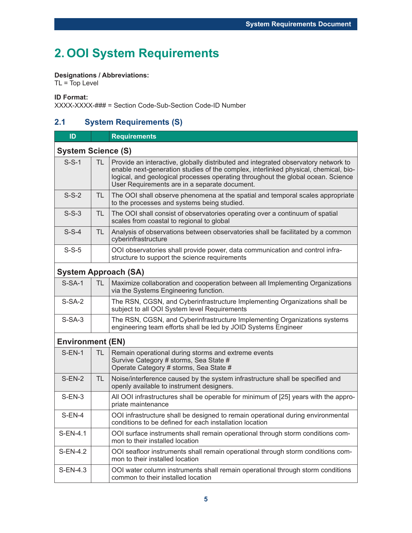## **2. OOI System Requirements**

### **Designations / Abbreviations:**

 $TL = Top Level$ 

**ID Format:**

XXXX-XXXX-### = Section Code-Sub-Section Code-ID Number

### **2.1 System Requirements (S)**

| ID                      |                           | <b>Requirements</b>                                                                                                                                                                                                                                                                                            |  |  |  |  |
|-------------------------|---------------------------|----------------------------------------------------------------------------------------------------------------------------------------------------------------------------------------------------------------------------------------------------------------------------------------------------------------|--|--|--|--|
|                         | <b>System Science (S)</b> |                                                                                                                                                                                                                                                                                                                |  |  |  |  |
| $S-S-1$                 | TL.                       | Provide an interactive, globally distributed and integrated observatory network to<br>enable next-generation studies of the complex, interlinked physical, chemical, bio-<br>logical, and geological processes operating throughout the global ocean. Science<br>User Requirements are in a separate document. |  |  |  |  |
| $S-S-2$                 | TL.                       | The OOI shall observe phenomena at the spatial and temporal scales appropriate<br>to the processes and systems being studied.                                                                                                                                                                                  |  |  |  |  |
| $S-S-3$                 | TL.                       | The OOI shall consist of observatories operating over a continuum of spatial<br>scales from coastal to regional to global                                                                                                                                                                                      |  |  |  |  |
| $S-S-4$                 | TL.                       | Analysis of observations between observatories shall be facilitated by a common<br>cyberinfrastructure                                                                                                                                                                                                         |  |  |  |  |
| $S-S-5$                 |                           | OOI observatories shall provide power, data communication and control infra-<br>structure to support the science requirements                                                                                                                                                                                  |  |  |  |  |
|                         |                           | <b>System Approach (SA)</b>                                                                                                                                                                                                                                                                                    |  |  |  |  |
| $S-SA-1$                | TL.                       | Maximize collaboration and cooperation between all Implementing Organizations<br>via the Systems Engineering function.                                                                                                                                                                                         |  |  |  |  |
| $S-SA-2$                |                           | The RSN, CGSN, and Cyberinfrastructure Implementing Organizations shall be<br>subject to all OOI System level Requirements                                                                                                                                                                                     |  |  |  |  |
| $S-SA-3$                |                           | The RSN, CGSN, and Cyberinfrastructure Implementing Organizations systems<br>engineering team efforts shall be led by JOID Systems Engineer                                                                                                                                                                    |  |  |  |  |
| <b>Environment (EN)</b> |                           |                                                                                                                                                                                                                                                                                                                |  |  |  |  |
| $S-EN-1$                | TL.                       | Remain operational during storms and extreme events<br>Survive Category # storms, Sea State #<br>Operate Category # storms, Sea State #                                                                                                                                                                        |  |  |  |  |
| $S-EN-2$                | TL                        | Noise/interference caused by the system infrastructure shall be specified and<br>openly available to instrument designers.                                                                                                                                                                                     |  |  |  |  |
| $S-EN-3$                |                           | All OOI infrastructures shall be operable for minimum of [25] years with the appro-<br>priate maintenance                                                                                                                                                                                                      |  |  |  |  |
| $S-EN-4$                |                           | OOI infrastructure shall be designed to remain operational during environmental<br>conditions to be defined for each installation location                                                                                                                                                                     |  |  |  |  |
| S-EN-4.1                |                           | OOI surface instruments shall remain operational through storm conditions com-<br>mon to their installed location                                                                                                                                                                                              |  |  |  |  |
| S-EN-4.2                |                           | OOI seafloor instruments shall remain operational through storm conditions com-<br>mon to their installed location                                                                                                                                                                                             |  |  |  |  |
| S-EN-4.3                |                           | OOI water column instruments shall remain operational through storm conditions<br>common to their installed location                                                                                                                                                                                           |  |  |  |  |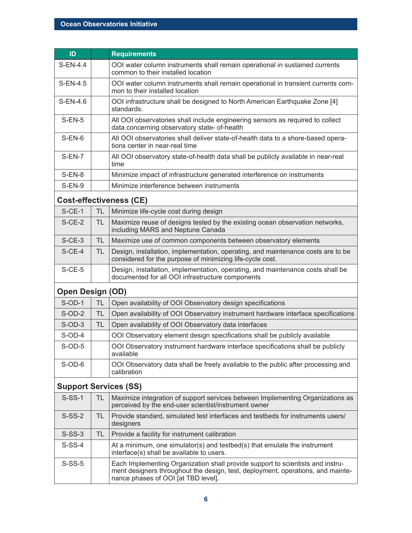| ID                           |           | <b>Requirements</b>                                                                                                                                                                                      |
|------------------------------|-----------|----------------------------------------------------------------------------------------------------------------------------------------------------------------------------------------------------------|
| $S-EN-4.4$                   |           | OOI water column instruments shall remain operational in sustained currents<br>common to their installed location                                                                                        |
| $S-EN-4.5$                   |           | OOI water column instruments shall remain operational in transient currents com-<br>mon to their installed location                                                                                      |
| S-EN-4.6                     |           | OOI infrastructure shall be designed to North American Earthquake Zone [4]<br>standards.                                                                                                                 |
| $S-EN-5$                     |           | All OOI observatories shall include engineering sensors as required to collect<br>data concerning observatory state- of-health                                                                           |
| $S-EN-6$                     |           | All OOI observatories shall deliver state-of-health data to a shore-based opera-<br>tions center in near-real time                                                                                       |
| $S-EN-7$                     |           | All OOI observatory state-of-health data shall be publicly available in near-real<br>time                                                                                                                |
| $S-EN-8$                     |           | Minimize impact of infrastructure generated interference on instruments                                                                                                                                  |
| $S-EN-9$                     |           | Minimize interference between instruments                                                                                                                                                                |
|                              |           | <b>Cost-effectiveness (CE)</b>                                                                                                                                                                           |
| $S$ -CE-1                    | <b>TL</b> | Minimize life-cycle cost during design                                                                                                                                                                   |
| $S$ -CE-2                    | <b>TL</b> | Maximize reuse of designs tested by the existing ocean observation networks,<br>including MARS and Neptune Canada                                                                                        |
| $S$ -CE-3                    | TL.       | Maximize use of common components between observatory elements                                                                                                                                           |
| $S$ -CE-4                    | <b>TL</b> | Design, installation, implementation, operating, and maintenance costs are to be<br>considered for the purpose of minimizing life-cycle cost.                                                            |
| $S$ -CE-5                    |           | Design, installation, implementation, operating, and maintenance costs shall be<br>documented for all OOI infrastructure components                                                                      |
| <b>Open Design (OD)</b>      |           |                                                                                                                                                                                                          |
| $S$ -OD-1                    | <b>TL</b> | Open availability of OOI Observatory design specifications                                                                                                                                               |
| $S$ -OD-2                    | <b>TL</b> | Open availability of OOI Observatory instrument hardware interface specifications                                                                                                                        |
| $S$ -OD-3                    | <b>TL</b> | Open availability of OOI Observatory data interfaces                                                                                                                                                     |
| $S$ -OD-4                    |           | OOI Observatory element design specifications shall be publicly available                                                                                                                                |
| $S$ -OD-5                    |           | OOI Observatory instrument hardware interface specifications shall be publicly<br>available                                                                                                              |
| $S$ -OD-6                    |           | OOI Observatory data shall be freely available to the public after processing and<br>calibration                                                                                                         |
| <b>Support Services (SS)</b> |           |                                                                                                                                                                                                          |
| $S-SS-1$                     | TL        | Maximize integration of support services between Implementing Organizations as<br>perceived by the end-user scientist/instrument owner                                                                   |
| $S-SS-2$                     | TL.       | Provide standard, simulated test interfaces and testbeds for instruments users/<br>designers                                                                                                             |
| $S-SS-3$                     | TL.       | Provide a facility for instrument calibration                                                                                                                                                            |
| $S-SS-4$                     |           | At a minimum, one simulator(s) and testbed(s) that emulate the instrument<br>interface(s) shall be available to users.                                                                                   |
| $S-SS-5$                     |           | Each Implementing Organization shall provide support to scientists and instru-<br>ment designers throughout the design, test, deployment, operations, and mainte-<br>nance phases of OOI [at TBD level]. |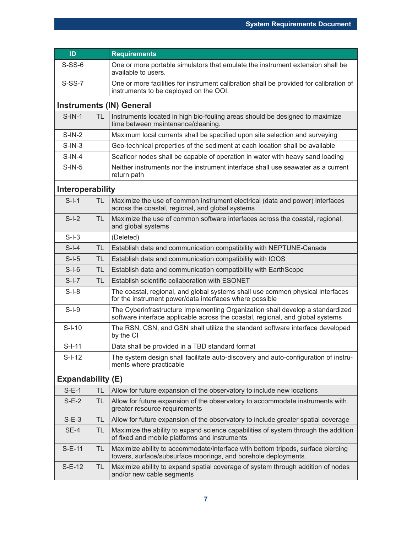| ID                       |           | <b>Requirements</b>                                                                                                                                              |
|--------------------------|-----------|------------------------------------------------------------------------------------------------------------------------------------------------------------------|
| $S-SS-6$                 |           | One or more portable simulators that emulate the instrument extension shall be<br>available to users.                                                            |
| $S-SS-7$                 |           | One or more facilities for instrument calibration shall be provided for calibration of<br>instruments to be deployed on the OOI.                                 |
|                          |           | <b>Instruments (IN) General</b>                                                                                                                                  |
| $S-IN-1$                 | TL.       | Instruments located in high bio-fouling areas should be designed to maximize<br>time between maintenance/cleaning.                                               |
| $S-IN-2$                 |           | Maximum local currents shall be specified upon site selection and surveying                                                                                      |
| $S-IN-3$                 |           | Geo-technical properties of the sediment at each location shall be available                                                                                     |
| $S-IN-4$                 |           | Seafloor nodes shall be capable of operation in water with heavy sand loading                                                                                    |
| $S-IN-5$                 |           | Neither instruments nor the instrument interface shall use seawater as a current<br>return path                                                                  |
| Interoperability         |           |                                                                                                                                                                  |
| $S-I-1$                  | <b>TL</b> | Maximize the use of common instrument electrical (data and power) interfaces<br>across the coastal, regional, and global systems                                 |
| $S-I-2$                  | <b>TL</b> | Maximize the use of common software interfaces across the coastal, regional,<br>and global systems                                                               |
| $S-I-3$                  |           | (Deleted)                                                                                                                                                        |
| $S-I-4$                  | <b>TL</b> | Establish data and communication compatibility with NEPTUNE-Canada                                                                                               |
| $S-I-5$                  | <b>TL</b> | Establish data and communication compatibility with IOOS                                                                                                         |
| $S-I-6$                  | <b>TL</b> | Establish data and communication compatibility with EarthScope                                                                                                   |
| $S-I-7$                  | <b>TL</b> | Establish scientific collaboration with ESONET                                                                                                                   |
| $S-I-8$                  |           | The coastal, regional, and global systems shall use common physical interfaces<br>for the instrument power/data interfaces where possible                        |
| $S-I-9$                  |           | The Cyberinfrastructure Implementing Organization shall develop a standardized<br>software interface applicable across the coastal, regional, and global systems |
| $S-I-10$                 |           | The RSN, CSN, and GSN shall utilize the standard software interface developed<br>by the CI                                                                       |
| $S-I-11$                 |           | Data shall be provided in a TBD standard format                                                                                                                  |
| $S-I-12$                 |           | The system design shall facilitate auto-discovery and auto-configuration of instru-<br>ments where practicable                                                   |
| <b>Expandability (E)</b> |           |                                                                                                                                                                  |
| $S-E-1$                  | TL        | Allow for future expansion of the observatory to include new locations                                                                                           |
| $S-E-2$                  | TL        | Allow for future expansion of the observatory to accommodate instruments with<br>greater resource requirements                                                   |
| $S-E-3$                  | <b>TL</b> | Allow for future expansion of the observatory to include greater spatial coverage                                                                                |
| SE-4                     | TL        | Maximize the ability to expand science capabilities of system through the addition<br>of fixed and mobile platforms and instruments                              |
| $S-E-11$                 | TL.       | Maximize ability to accommodate/interface with bottom tripods, surface piercing<br>towers, surface/subsurface moorings, and borehole deployments.                |
| $S-E-12$                 | TL.       | Maximize ability to expand spatial coverage of system through addition of nodes<br>and/or new cable segments                                                     |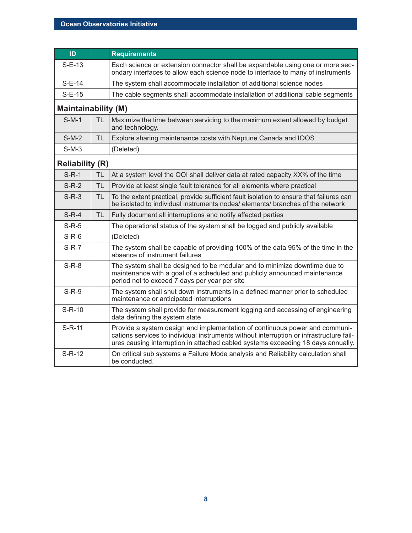| ID                         |           | <b>Requirements</b>                                                                                                                                                                                                                                        |
|----------------------------|-----------|------------------------------------------------------------------------------------------------------------------------------------------------------------------------------------------------------------------------------------------------------------|
| $S-E-13$                   |           | Each science or extension connector shall be expandable using one or more sec-<br>ondary interfaces to allow each science node to interface to many of instruments                                                                                         |
| $S-E-14$                   |           | The system shall accommodate installation of additional science nodes                                                                                                                                                                                      |
| $S-E-15$                   |           | The cable segments shall accommodate installation of additional cable segments                                                                                                                                                                             |
| <b>Maintainability (M)</b> |           |                                                                                                                                                                                                                                                            |
| $S-M-1$                    | <b>TL</b> | Maximize the time between servicing to the maximum extent allowed by budget<br>and technology.                                                                                                                                                             |
| $S-M-2$                    | <b>TL</b> | Explore sharing maintenance costs with Neptune Canada and IOOS                                                                                                                                                                                             |
| $S-M-3$                    |           | (Deleted)                                                                                                                                                                                                                                                  |
| <b>Reliability (R)</b>     |           |                                                                                                                                                                                                                                                            |
| $S-R-1$                    | <b>TL</b> | At a system level the OOI shall deliver data at rated capacity XX% of the time                                                                                                                                                                             |
| $S-R-2$                    | TL        | Provide at least single fault tolerance for all elements where practical                                                                                                                                                                                   |
| $S-R-3$                    | <b>TL</b> | To the extent practical, provide sufficient fault isolation to ensure that failures can<br>be isolated to individual instruments nodes/ elements/ branches of the network                                                                                  |
| $S-R-4$                    | <b>TL</b> | Fully document all interruptions and notify affected parties                                                                                                                                                                                               |
| $S-R-5$                    |           | The operational status of the system shall be logged and publicly available                                                                                                                                                                                |
| $S-R-6$                    |           | (Deleted)                                                                                                                                                                                                                                                  |
| $S-R-7$                    |           | The system shall be capable of providing 100% of the data 95% of the time in the<br>absence of instrument failures                                                                                                                                         |
| $S-R-8$                    |           | The system shall be designed to be modular and to minimize downtime due to<br>maintenance with a goal of a scheduled and publicly announced maintenance<br>period not to exceed 7 days per year per site                                                   |
| $S-R-9$                    |           | The system shall shut down instruments in a defined manner prior to scheduled<br>maintenance or anticipated interruptions                                                                                                                                  |
| $S-R-10$                   |           | The system shall provide for measurement logging and accessing of engineering<br>data defining the system state                                                                                                                                            |
| $S-R-11$                   |           | Provide a system design and implementation of continuous power and communi-<br>cations services to individual instruments without interruption or infrastructure fail-<br>ures causing interruption in attached cabled systems exceeding 18 days annually. |
| $S-R-12$                   |           | On critical sub systems a Failure Mode analysis and Reliability calculation shall<br>be conducted.                                                                                                                                                         |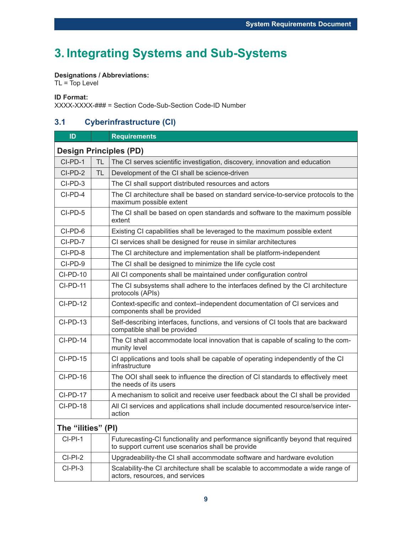## **3. Integrating Systems and Sub-Systems**

### **Designations / Abbreviations:**

 $TL = Top Level$ 

#### **ID Format:**

XXXX-XXXX-### = Section Code-Sub-Section Code-ID Number

### **3.1 Cyberinfrastructure (CI)**

| ID                 |                               | <b>Requirements</b>                                                                                                                    |  |  |  |  |
|--------------------|-------------------------------|----------------------------------------------------------------------------------------------------------------------------------------|--|--|--|--|
|                    | <b>Design Principles (PD)</b> |                                                                                                                                        |  |  |  |  |
| CI-PD-1            | <b>TL</b>                     | The CI serves scientific investigation, discovery, innovation and education                                                            |  |  |  |  |
| CI-PD-2            | <b>TL</b>                     | Development of the CI shall be science-driven                                                                                          |  |  |  |  |
| CI-PD-3            |                               | The CI shall support distributed resources and actors                                                                                  |  |  |  |  |
| CI-PD-4            |                               | The CI architecture shall be based on standard service-to-service protocols to the<br>maximum possible extent                          |  |  |  |  |
| CI-PD-5            |                               | The CI shall be based on open standards and software to the maximum possible<br>extent                                                 |  |  |  |  |
| CI-PD-6            |                               | Existing CI capabilities shall be leveraged to the maximum possible extent                                                             |  |  |  |  |
| CI-PD-7            |                               | CI services shall be designed for reuse in similar architectures                                                                       |  |  |  |  |
| CI-PD-8            |                               | The CI architecture and implementation shall be platform-independent                                                                   |  |  |  |  |
| CI-PD-9            |                               | The CI shall be designed to minimize the life cycle cost                                                                               |  |  |  |  |
| <b>CI-PD-10</b>    |                               | All CI components shall be maintained under configuration control                                                                      |  |  |  |  |
| <b>CI-PD-11</b>    |                               | The CI subsystems shall adhere to the interfaces defined by the CI architecture<br>protocols (APIs)                                    |  |  |  |  |
| CI-PD-12           |                               | Context-specific and context-independent documentation of CI services and<br>components shall be provided                              |  |  |  |  |
| CI-PD-13           |                               | Self-describing interfaces, functions, and versions of CI tools that are backward<br>compatible shall be provided                      |  |  |  |  |
| CI-PD-14           |                               | The CI shall accommodate local innovation that is capable of scaling to the com-<br>munity level                                       |  |  |  |  |
| CI-PD-15           |                               | CI applications and tools shall be capable of operating independently of the CI<br>infrastructure                                      |  |  |  |  |
| $CI-PD-16$         |                               | The OOI shall seek to influence the direction of CI standards to effectively meet<br>the needs of its users                            |  |  |  |  |
| CI-PD-17           |                               | A mechanism to solicit and receive user feedback about the CI shall be provided                                                        |  |  |  |  |
| CI-PD-18           |                               | All CI services and applications shall include documented resource/service inter-<br>action                                            |  |  |  |  |
| The "ilities" (PI) |                               |                                                                                                                                        |  |  |  |  |
| $CI-PI-1$          |                               | Futurecasting-CI functionality and performance significantly beyond that required<br>to support current use scenarios shall be provide |  |  |  |  |
| $CI-PI-2$          |                               | Upgradeability-the CI shall accommodate software and hardware evolution                                                                |  |  |  |  |
| $CI-PI-3$          |                               | Scalability-the CI architecture shall be scalable to accommodate a wide range of<br>actors, resources, and services                    |  |  |  |  |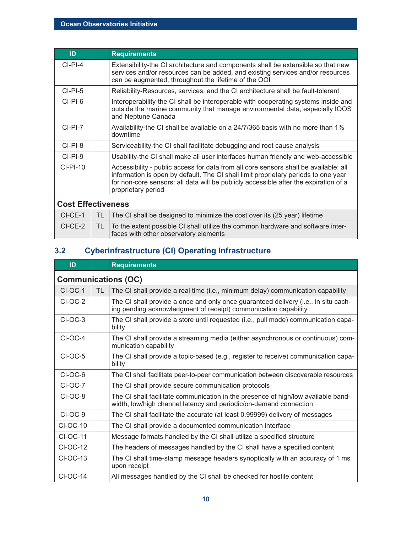| ID                        |     | <b>Requirements</b>                                                                                                                                                                                                                                                                      |  |  |
|---------------------------|-----|------------------------------------------------------------------------------------------------------------------------------------------------------------------------------------------------------------------------------------------------------------------------------------------|--|--|
| $CI-PI-4$                 |     | Extensibility-the CI architecture and components shall be extensible so that new<br>services and/or resources can be added, and existing services and/or resources<br>can be augmented, throughout the lifetime of the OOI                                                               |  |  |
| $CI-PI-5$                 |     | Reliability-Resources, services, and the CI architecture shall be fault-tolerant                                                                                                                                                                                                         |  |  |
| $CI-PI-6$                 |     | Interoperability-the CI shall be interoperable with cooperating systems inside and<br>outside the marine community that manage environmental data, especially IOOS<br>and Neptune Canada                                                                                                 |  |  |
| $CLPI-7$                  |     | Availability-the CI shall be available on a 24/7/365 basis with no more than 1%<br>downtime                                                                                                                                                                                              |  |  |
| $CI-PI-8$                 |     | Serviceability-the CI shall facilitate debugging and root cause analysis                                                                                                                                                                                                                 |  |  |
| $CI-PI-9$                 |     | Usability-the CI shall make all user interfaces human friendly and web-accessible                                                                                                                                                                                                        |  |  |
| $CI-PI-10$                |     | Accessibility - public access for data from all core sensors shall be available: all<br>information is open by default. The CI shall limit proprietary periods to one year<br>for non-core sensors: all data will be publicly accessible after the expiration of a<br>proprietary period |  |  |
| <b>Cost Effectiveness</b> |     |                                                                                                                                                                                                                                                                                          |  |  |
| $CI-CE-1$                 | TL  | The CI shall be designed to minimize the cost over its (25 year) lifetime                                                                                                                                                                                                                |  |  |
| $CI-CE-2$                 | TL. | To the extent possible CI shall utilize the common hardware and software inter-<br>faces with other observatory elements                                                                                                                                                                 |  |  |

### **3.2 Cyberinfrastructure (CI) Operating Infrastructure**

| ID              |                            | <b>Requirements</b>                                                                                                                                    |  |  |  |  |
|-----------------|----------------------------|--------------------------------------------------------------------------------------------------------------------------------------------------------|--|--|--|--|
|                 | <b>Communications (OC)</b> |                                                                                                                                                        |  |  |  |  |
| $CI-OC-1$       | TL.                        | The CI shall provide a real time (i.e., minimum delay) communication capability                                                                        |  |  |  |  |
| $CI-OC-2$       |                            | The CI shall provide a once and only once guaranteed delivery (i.e., in situ cach-<br>ing pending acknowledgment of receipt) communication capability  |  |  |  |  |
| $CI-OC-3$       |                            | The CI shall provide a store until requested (i.e., pull mode) communication capa-<br>bility                                                           |  |  |  |  |
| $CI-OC-4$       |                            | The CI shall provide a streaming media (either asynchronous or continuous) com-<br>munication capability                                               |  |  |  |  |
| $CI-OC-5$       |                            | The CI shall provide a topic-based (e.g., register to receive) communication capa-<br>bility                                                           |  |  |  |  |
| CI-OC-6         |                            | The CI shall facilitate peer-to-peer communication between discoverable resources                                                                      |  |  |  |  |
| CI-OC-7         |                            | The CI shall provide secure communication protocols                                                                                                    |  |  |  |  |
| CI-OC-8         |                            | The CI shall facilitate communication in the presence of high/low available band-<br>width, low/high channel latency and periodic/on-demand connection |  |  |  |  |
| CI-OC-9         |                            | The CI shall facilitate the accurate (at least 0.99999) delivery of messages                                                                           |  |  |  |  |
| <b>CI-OC-10</b> |                            | The CI shall provide a documented communication interface                                                                                              |  |  |  |  |
| <b>CI-OC-11</b> |                            | Message formats handled by the CI shall utilize a specified structure                                                                                  |  |  |  |  |
| <b>CI-OC-12</b> |                            | The headers of messages handled by the CI shall have a specified content                                                                               |  |  |  |  |
| $CI-OC-13$      |                            | The CI shall time-stamp message headers synoptically with an accuracy of 1 ms<br>upon receipt                                                          |  |  |  |  |
| $CI-OC-14$      |                            | All messages handled by the CI shall be checked for hostile content                                                                                    |  |  |  |  |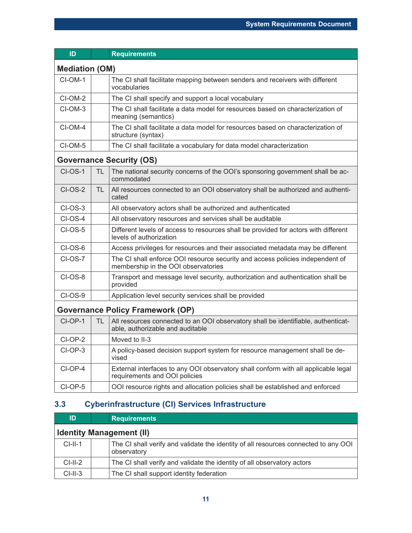| ID                    |                                         | <b>Requirements</b>                                                                                                   |  |  |  |  |
|-----------------------|-----------------------------------------|-----------------------------------------------------------------------------------------------------------------------|--|--|--|--|
| <b>Mediation (OM)</b> |                                         |                                                                                                                       |  |  |  |  |
| $CI-OM-1$             |                                         | The CI shall facilitate mapping between senders and receivers with different<br>vocabularies                          |  |  |  |  |
| CI-OM-2               |                                         | The CI shall specify and support a local vocabulary                                                                   |  |  |  |  |
| CI-OM-3               |                                         | The CI shall facilitate a data model for resources based on characterization of<br>meaning (semantics)                |  |  |  |  |
| $CI-OM-4$             |                                         | The CI shall facilitate a data model for resources based on characterization of<br>structure (syntax)                 |  |  |  |  |
| CI-OM-5               |                                         | The CI shall facilitate a vocabulary for data model characterization                                                  |  |  |  |  |
|                       |                                         | <b>Governance Security (OS)</b>                                                                                       |  |  |  |  |
| $CI-OS-1$             | TL                                      | The national security concerns of the OOI's sponsoring government shall be ac-<br>commodated                          |  |  |  |  |
| $CI-OS-2$             | TL                                      | All resources connected to an OOI observatory shall be authorized and authenti-<br>cated                              |  |  |  |  |
| $CI$ -OS-3            |                                         | All observatory actors shall be authorized and authenticated                                                          |  |  |  |  |
| <b>CI-OS-4</b>        |                                         | All observatory resources and services shall be auditable                                                             |  |  |  |  |
| $CI-OS-5$             |                                         | Different levels of access to resources shall be provided for actors with different<br>levels of authorization        |  |  |  |  |
| $CI-OS-6$             |                                         | Access privileges for resources and their associated metadata may be different                                        |  |  |  |  |
| $CI-OS-7$             |                                         | The CI shall enforce OOI resource security and access policies independent of<br>membership in the OOI observatories  |  |  |  |  |
| $CI-OS-8$             |                                         | Transport and message level security, authorization and authentication shall be<br>provided                           |  |  |  |  |
| $CI-OS-9$             |                                         | Application level security services shall be provided                                                                 |  |  |  |  |
|                       | <b>Governance Policy Framework (OP)</b> |                                                                                                                       |  |  |  |  |
| $CI-OP-1$             | TL.                                     | All resources connected to an OOI observatory shall be identifiable, authenticat-<br>able, authorizable and auditable |  |  |  |  |
| $CI-OP-2$             |                                         | Moved to II-3                                                                                                         |  |  |  |  |
| CI-OP-3               |                                         | A policy-based decision support system for resource management shall be de-<br>vised                                  |  |  |  |  |
| CI-OP-4               |                                         | External interfaces to any OOI observatory shall conform with all applicable legal<br>requirements and OOI policies   |  |  |  |  |
| CI-OP-5               |                                         | OOI resource rights and allocation policies shall be established and enforced                                         |  |  |  |  |

### **3.3 Cyberinfrastructure (CI) Services Infrastructure**

| ID                              | <b>Requirements</b>                                                                                |  |  |  |
|---------------------------------|----------------------------------------------------------------------------------------------------|--|--|--|
| <b>Identity Management (II)</b> |                                                                                                    |  |  |  |
| $CI-II-1$                       | The CI shall verify and validate the identity of all resources connected to any OOI<br>observatory |  |  |  |
| $CI-II-2$                       | The CI shall verify and validate the identity of all observatory actors                            |  |  |  |
| $CI-II-3$                       | The CI shall support identity federation                                                           |  |  |  |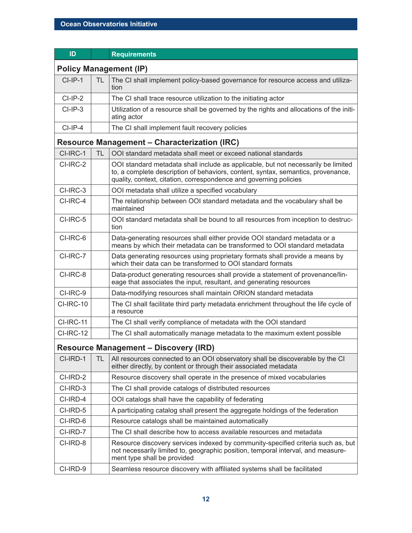| ID                                           |           | <b>Requirements</b>                                                                                                                                                                                                                        |  |
|----------------------------------------------|-----------|--------------------------------------------------------------------------------------------------------------------------------------------------------------------------------------------------------------------------------------------|--|
| <b>Policy Management (IP)</b>                |           |                                                                                                                                                                                                                                            |  |
| $CI-IP-1$                                    | TL.       | The CI shall implement policy-based governance for resource access and utiliza-<br>tion                                                                                                                                                    |  |
| $CI-IP-2$                                    |           | The CI shall trace resource utilization to the initiating actor                                                                                                                                                                            |  |
| $CI-IP-3$                                    |           | Utilization of a resource shall be governed by the rights and allocations of the initi-<br>ating actor                                                                                                                                     |  |
| $Cl-IP-4$                                    |           | The CI shall implement fault recovery policies                                                                                                                                                                                             |  |
|                                              |           | <b>Resource Management - Characterization (IRC)</b>                                                                                                                                                                                        |  |
| CI-IRC-1                                     | <b>TL</b> | OOI standard metadata shall meet or exceed national standards                                                                                                                                                                              |  |
| CI-IRC-2                                     |           | OOI standard metadata shall include as applicable, but not necessarily be limited<br>to, a complete description of behaviors, content, syntax, semantics, provenance,<br>quality, context, citation, correspondence and governing policies |  |
| CI-IRC-3                                     |           | OOI metadata shall utilize a specified vocabulary                                                                                                                                                                                          |  |
| CI-IRC-4                                     |           | The relationship between OOI standard metadata and the vocabulary shall be<br>maintained                                                                                                                                                   |  |
| CI-IRC-5                                     |           | OOI standard metadata shall be bound to all resources from inception to destruc-<br>tion                                                                                                                                                   |  |
| CI-IRC-6                                     |           | Data-generating resources shall either provide OOI standard metadata or a<br>means by which their metadata can be transformed to OOI standard metadata                                                                                     |  |
| CI-IRC-7                                     |           | Data generating resources using proprietary formats shall provide a means by<br>which their data can be transformed to OOI standard formats                                                                                                |  |
| CI-IRC-8                                     |           | Data-product generating resources shall provide a statement of provenance/lin-<br>eage that associates the input, resultant, and generating resources                                                                                      |  |
| CI-IRC-9                                     |           | Data-modifying resources shall maintain ORION standard metadata                                                                                                                                                                            |  |
| CI-IRC-10                                    |           | The CI shall facilitate third party metadata enrichment throughout the life cycle of<br>a resource                                                                                                                                         |  |
| CI-IRC-11                                    |           | The CI shall verify compliance of metadata with the OOI standard                                                                                                                                                                           |  |
| CI-IRC-12                                    |           | The CI shall automatically manage metadata to the maximum extent possible                                                                                                                                                                  |  |
| <b>Resource Management - Discovery (IRD)</b> |           |                                                                                                                                                                                                                                            |  |
| CI-IRD-1                                     | TL.       | All resources connected to an OOI observatory shall be discoverable by the CI<br>either directly, by content or through their associated metadata                                                                                          |  |
| CI-IRD-2                                     |           | Resource discovery shall operate in the presence of mixed vocabularies                                                                                                                                                                     |  |
| CI-IRD-3                                     |           | The CI shall provide catalogs of distributed resources                                                                                                                                                                                     |  |
| CI-IRD-4                                     |           | OOI catalogs shall have the capability of federating                                                                                                                                                                                       |  |
| CI-IRD-5                                     |           | A participating catalog shall present the aggregate holdings of the federation                                                                                                                                                             |  |
| CI-IRD-6                                     |           | Resource catalogs shall be maintained automatically                                                                                                                                                                                        |  |
| CI-IRD-7                                     |           | The CI shall describe how to access available resources and metadata                                                                                                                                                                       |  |
| CI-IRD-8                                     |           | Resource discovery services indexed by community-specified criteria such as, but<br>not necessarily limited to, geographic position, temporal interval, and measure-<br>ment type shall be provided                                        |  |
| CI-IRD-9                                     |           | Seamless resource discovery with affiliated systems shall be facilitated                                                                                                                                                                   |  |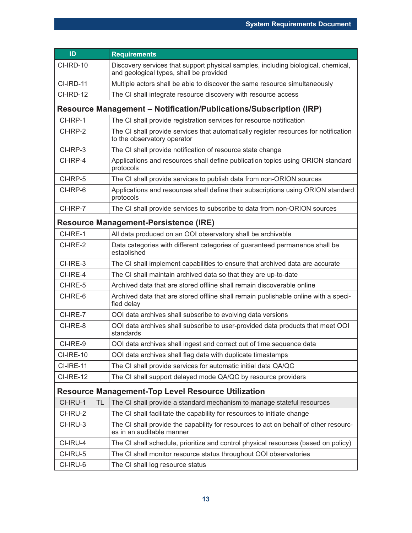| ID                                                        |           | <b>Requirements</b>                                                                                                          |  |
|-----------------------------------------------------------|-----------|------------------------------------------------------------------------------------------------------------------------------|--|
| CI-IRD-10                                                 |           | Discovery services that support physical samples, including biological, chemical,<br>and geological types, shall be provided |  |
| CI-IRD-11                                                 |           | Multiple actors shall be able to discover the same resource simultaneously                                                   |  |
| CI-IRD-12                                                 |           | The CI shall integrate resource discovery with resource access                                                               |  |
|                                                           |           | Resource Management – Notification/Publications/Subscription (IRP)                                                           |  |
| CI-IRP-1                                                  |           | The CI shall provide registration services for resource notification                                                         |  |
| CI-IRP-2                                                  |           | The CI shall provide services that automatically register resources for notification<br>to the observatory operator          |  |
| CI-IRP-3                                                  |           | The CI shall provide notification of resource state change                                                                   |  |
| CI-IRP-4                                                  |           | Applications and resources shall define publication topics using ORION standard<br>protocols                                 |  |
| CI-IRP-5                                                  |           | The CI shall provide services to publish data from non-ORION sources                                                         |  |
| CI-IRP-6                                                  |           | Applications and resources shall define their subscriptions using ORION standard<br>protocols                                |  |
| CI-IRP-7                                                  |           | The CI shall provide services to subscribe to data from non-ORION sources                                                    |  |
|                                                           |           | <b>Resource Management-Persistence (IRE)</b>                                                                                 |  |
| CI-IRE-1                                                  |           | All data produced on an OOI observatory shall be archivable                                                                  |  |
| CI-IRE-2                                                  |           | Data categories with different categories of guaranteed permanence shall be<br>established                                   |  |
| CI-IRE-3                                                  |           | The CI shall implement capabilities to ensure that archived data are accurate                                                |  |
| CI-IRE-4                                                  |           | The CI shall maintain archived data so that they are up-to-date                                                              |  |
| CI-IRE-5                                                  |           | Archived data that are stored offline shall remain discoverable online                                                       |  |
| CI-IRE-6                                                  |           | Archived data that are stored offline shall remain publishable online with a speci-<br>fied delay                            |  |
| CI-IRE-7                                                  |           | OOI data archives shall subscribe to evolving data versions                                                                  |  |
| CI-IRE-8                                                  |           | OOI data archives shall subscribe to user-provided data products that meet OOI<br>standards                                  |  |
| CI-IRE-9                                                  |           | OOI data archives shall ingest and correct out of time sequence data                                                         |  |
| CI-IRE-10                                                 |           | OOI data archives shall flag data with duplicate timestamps                                                                  |  |
| <b>CI-IRE-11</b>                                          |           | The CI shall provide services for automatic initial data QA/QC                                                               |  |
| <b>CI-IRE-12</b>                                          |           | The CI shall support delayed mode QA/QC by resource providers                                                                |  |
| <b>Resource Management-Top Level Resource Utilization</b> |           |                                                                                                                              |  |
| CI-IRU-1                                                  | <b>TL</b> | The CI shall provide a standard mechanism to manage stateful resources                                                       |  |
| CI-IRU-2                                                  |           | The CI shall facilitate the capability for resources to initiate change                                                      |  |
| CI-IRU-3                                                  |           | The CI shall provide the capability for resources to act on behalf of other resourc-<br>es in an auditable manner            |  |
| CI-IRU-4                                                  |           | The CI shall schedule, prioritize and control physical resources (based on policy)                                           |  |
| CI-IRU-5                                                  |           | The CI shall monitor resource status throughout OOI observatories                                                            |  |
| CI-IRU-6                                                  |           | The CI shall log resource status                                                                                             |  |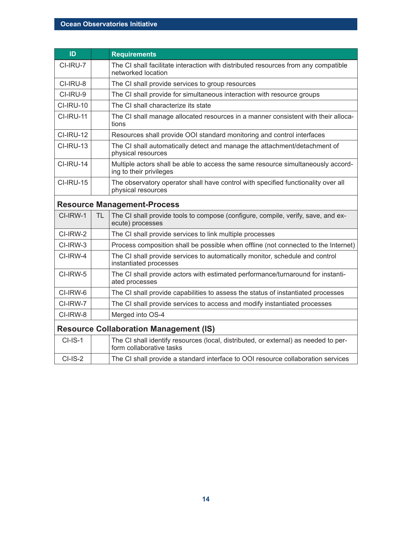| ID               |           | <b>Requirements</b>                                                                                             |
|------------------|-----------|-----------------------------------------------------------------------------------------------------------------|
| CI-IRU-7         |           | The CI shall facilitate interaction with distributed resources from any compatible<br>networked location        |
| CI-IRU-8         |           | The CI shall provide services to group resources                                                                |
| CI-IRU-9         |           | The CI shall provide for simultaneous interaction with resource groups                                          |
| <b>CI-IRU-10</b> |           | The CI shall characterize its state                                                                             |
| CI-IRU-11        |           | The CI shall manage allocated resources in a manner consistent with their alloca-<br>tions                      |
| CI-IRU-12        |           | Resources shall provide OOI standard monitoring and control interfaces                                          |
| <b>CI-IRU-13</b> |           | The CI shall automatically detect and manage the attachment/detachment of<br>physical resources                 |
| CI-IRU-14        |           | Multiple actors shall be able to access the same resource simultaneously accord-<br>ing to their privileges     |
| CI-IRU-15        |           | The observatory operator shall have control with specified functionality over all<br>physical resources         |
|                  |           | <b>Resource Management-Process</b>                                                                              |
| CI-IRW-1         | <b>TL</b> | The CI shall provide tools to compose (configure, compile, verify, save, and ex-<br>ecute) processes            |
| CI-IRW-2         |           | The CI shall provide services to link multiple processes                                                        |
| CI-IRW-3         |           | Process composition shall be possible when offline (not connected to the Internet)                              |
| CI-IRW-4         |           | The CI shall provide services to automatically monitor, schedule and control<br>instantiated processes          |
| CI-IRW-5         |           | The CI shall provide actors with estimated performance/turnaround for instanti-<br>ated processes               |
| CI-IRW-6         |           | The CI shall provide capabilities to assess the status of instantiated processes                                |
| CI-IRW-7         |           | The CI shall provide services to access and modify instantiated processes                                       |
| CI-IRW-8         |           | Merged into OS-4                                                                                                |
|                  |           | <b>Resource Collaboration Management (IS)</b>                                                                   |
| $CI-IS-1$        |           | The CI shall identify resources (local, distributed, or external) as needed to per-<br>form collaborative tasks |
| $CI-IS-2$        |           | The CI shall provide a standard interface to OOI resource collaboration services                                |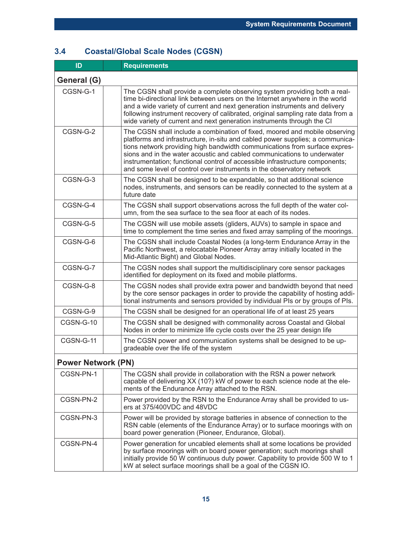### **3.4 Coastal/Global Scale Nodes (CGSN)**

| ID                        | <b>Requirements</b>                                                                                                                                                                                                                                                                                                                                                                                                                                                           |  |
|---------------------------|-------------------------------------------------------------------------------------------------------------------------------------------------------------------------------------------------------------------------------------------------------------------------------------------------------------------------------------------------------------------------------------------------------------------------------------------------------------------------------|--|
| General (G)               |                                                                                                                                                                                                                                                                                                                                                                                                                                                                               |  |
| CGSN-G-1                  | The CGSN shall provide a complete observing system providing both a real-<br>time bi-directional link between users on the Internet anywhere in the world<br>and a wide variety of current and next generation instruments and delivery<br>following instrument recovery of calibrated, original sampling rate data from a<br>wide variety of current and next generation instruments through the CI                                                                          |  |
| CGSN-G-2                  | The CGSN shall include a combination of fixed, moored and mobile observing<br>platforms and infrastructure, in-situ and cabled power supplies; a communica-<br>tions network providing high bandwidth communications from surface expres-<br>sions and in the water acoustic and cabled communications to underwater<br>instrumentation; functional control of accessible infrastructure components;<br>and some level of control over instruments in the observatory network |  |
| CGSN-G-3                  | The CGSN shall be designed to be expandable, so that additional science<br>nodes, instruments, and sensors can be readily connected to the system at a<br>future date                                                                                                                                                                                                                                                                                                         |  |
| CGSN-G-4                  | The CGSN shall support observations across the full depth of the water col-<br>umn, from the sea surface to the sea floor at each of its nodes.                                                                                                                                                                                                                                                                                                                               |  |
| CGSN-G-5                  | The CGSN will use mobile assets (gliders, AUVs) to sample in space and<br>time to complement the time series and fixed array sampling of the moorings.                                                                                                                                                                                                                                                                                                                        |  |
| CGSN-G-6                  | The CGSN shall include Coastal Nodes (a long-term Endurance Array in the<br>Pacific Northwest, a relocatable Pioneer Array array initially located in the<br>Mid-Atlantic Bight) and Global Nodes.                                                                                                                                                                                                                                                                            |  |
| CGSN-G-7                  | The CGSN nodes shall support the multidisciplinary core sensor packages<br>identified for deployment on its fixed and mobile platforms.                                                                                                                                                                                                                                                                                                                                       |  |
| CGSN-G-8                  | The CGSN nodes shall provide extra power and bandwidth beyond that need<br>by the core sensor packages in order to provide the capability of hosting addi-<br>tional instruments and sensors provided by individual PIs or by groups of PIs.                                                                                                                                                                                                                                  |  |
| CGSN-G-9                  | The CGSN shall be designed for an operational life of at least 25 years                                                                                                                                                                                                                                                                                                                                                                                                       |  |
| CGSN-G-10                 | The CGSN shall be designed with commonality across Coastal and Global<br>Nodes in order to minimize life cycle costs over the 25 year design life                                                                                                                                                                                                                                                                                                                             |  |
| CGSN-G-11                 | The CGSN power and communication systems shall be designed to be up-<br>gradeable over the life of the system                                                                                                                                                                                                                                                                                                                                                                 |  |
| <b>Power Network (PN)</b> |                                                                                                                                                                                                                                                                                                                                                                                                                                                                               |  |
| CGSN-PN-1                 | The CGSN shall provide in collaboration with the RSN a power network<br>capable of delivering XX (10?) kW of power to each science node at the ele-<br>ments of the Endurance Array attached to the RSN.                                                                                                                                                                                                                                                                      |  |
| CGSN-PN-2                 | Power provided by the RSN to the Endurance Array shall be provided to us-<br>ers at 375/400VDC and 48VDC                                                                                                                                                                                                                                                                                                                                                                      |  |
| CGSN-PN-3                 | Power will be provided by storage batteries in absence of connection to the<br>RSN cable (elements of the Endurance Array) or to surface moorings with on<br>board power generation (Pioneer, Endurance, Global).                                                                                                                                                                                                                                                             |  |
| CGSN-PN-4                 | Power generation for uncabled elements shall at some locations be provided<br>by surface moorings with on board power generation; such moorings shall<br>initially provide 50 W continuous duty power. Capability to provide 500 W to 1<br>kW at select surface moorings shall be a goal of the CGSN IO.                                                                                                                                                                      |  |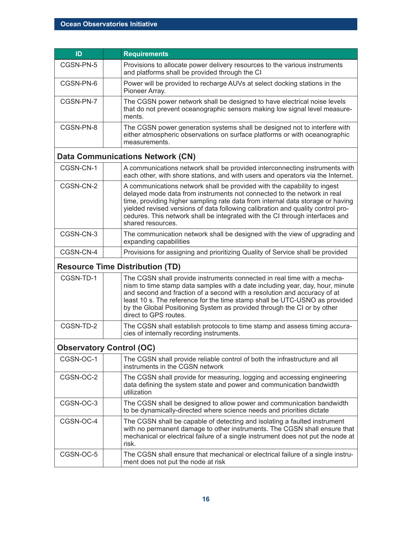| ID                              |  | <b>Requirements</b>                                                                                                                                                                                                                                                                                                                                                                                                           |
|---------------------------------|--|-------------------------------------------------------------------------------------------------------------------------------------------------------------------------------------------------------------------------------------------------------------------------------------------------------------------------------------------------------------------------------------------------------------------------------|
| CGSN-PN-5                       |  | Provisions to allocate power delivery resources to the various instruments<br>and platforms shall be provided through the CI                                                                                                                                                                                                                                                                                                  |
| CGSN-PN-6                       |  | Power will be provided to recharge AUVs at select docking stations in the<br>Pioneer Array.                                                                                                                                                                                                                                                                                                                                   |
| CGSN-PN-7                       |  | The CGSN power network shall be designed to have electrical noise levels<br>that do not prevent oceanographic sensors making low signal level measure-<br>ments.                                                                                                                                                                                                                                                              |
| CGSN-PN-8                       |  | The CGSN power generation systems shall be designed not to interfere with<br>either atmospheric observations on surface platforms or with oceanographic<br>measurements.                                                                                                                                                                                                                                                      |
|                                 |  | <b>Data Communications Network (CN)</b>                                                                                                                                                                                                                                                                                                                                                                                       |
| CGSN-CN-1                       |  | A communications network shall be provided interconnecting instruments with<br>each other, with shore stations, and with users and operators via the Internet.                                                                                                                                                                                                                                                                |
| CGSN-CN-2                       |  | A communications network shall be provided with the capability to ingest<br>delayed mode data from instruments not connected to the network in real<br>time, providing higher sampling rate data from internal data storage or having<br>yielded revised versions of data following calibration and quality control pro-<br>cedures. This network shall be integrated with the CI through interfaces and<br>shared resources. |
| CGSN-CN-3                       |  | The communication network shall be designed with the view of upgrading and<br>expanding capabilities                                                                                                                                                                                                                                                                                                                          |
| CGSN-CN-4                       |  | Provisions for assigning and prioritizing Quality of Service shall be provided                                                                                                                                                                                                                                                                                                                                                |
|                                 |  | <b>Resource Time Distribution (TD)</b>                                                                                                                                                                                                                                                                                                                                                                                        |
| CGSN-TD-1                       |  | The CGSN shall provide instruments connected in real time with a mecha-<br>nism to time stamp data samples with a date including year, day, hour, minute<br>and second and fraction of a second with a resolution and accuracy of at<br>least 10 s. The reference for the time stamp shall be UTC-USNO as provided<br>by the Global Positioning System as provided through the CI or by other<br>direct to GPS routes.        |
| CGSN-TD-2                       |  | The CGSN shall establish protocols to time stamp and assess timing accura-<br>cies of internally recording instruments.                                                                                                                                                                                                                                                                                                       |
| <b>Observatory Control (OC)</b> |  |                                                                                                                                                                                                                                                                                                                                                                                                                               |
| CGSN-OC-1                       |  | The CGSN shall provide reliable control of both the infrastructure and all<br>instruments in the CGSN network                                                                                                                                                                                                                                                                                                                 |
| CGSN-OC-2                       |  | The CGSN shall provide for measuring, logging and accessing engineering<br>data defining the system state and power and communication bandwidth<br>utilization                                                                                                                                                                                                                                                                |
| CGSN-OC-3                       |  | The CGSN shall be designed to allow power and communication bandwidth<br>to be dynamically-directed where science needs and priorities dictate                                                                                                                                                                                                                                                                                |
| CGSN-OC-4                       |  | The CGSN shall be capable of detecting and isolating a faulted instrument<br>with no permanent damage to other instruments. The CGSN shall ensure that<br>mechanical or electrical failure of a single instrument does not put the node at<br>risk.                                                                                                                                                                           |
| CGSN-OC-5                       |  | The CGSN shall ensure that mechanical or electrical failure of a single instru-<br>ment does not put the node at risk                                                                                                                                                                                                                                                                                                         |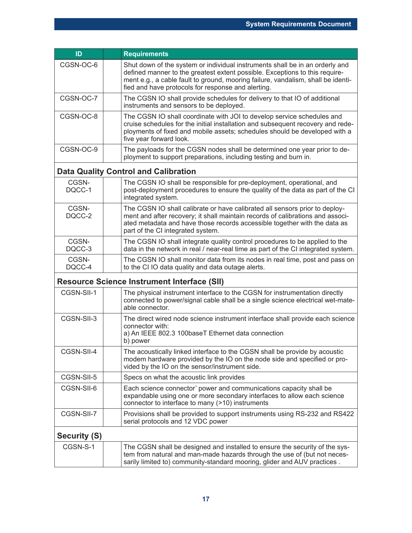| ID                  | <b>Requirements</b>                                                                                                                                                                                                                                                                                   |
|---------------------|-------------------------------------------------------------------------------------------------------------------------------------------------------------------------------------------------------------------------------------------------------------------------------------------------------|
| CGSN-OC-6           | Shut down of the system or individual instruments shall be in an orderly and<br>defined manner to the greatest extent possible. Exceptions to this require-<br>ment e.g., a cable fault to ground, mooring failure, vandalism, shall be identi-<br>fied and have protocols for response and alerting. |
| CGSN-OC-7           | The CGSN IO shall provide schedules for delivery to that IO of additional<br>instruments and sensors to be deployed.                                                                                                                                                                                  |
| CGSN-OC-8           | The CGSN IO shall coordinate with JOI to develop service schedules and<br>cruise schedules for the initial installation and subsequent recovery and rede-<br>ployments of fixed and mobile assets; schedules should be developed with a<br>five year forward look.                                    |
| CGSN-OC-9           | The payloads for the CGSN nodes shall be determined one year prior to de-<br>ployment to support preparations, including testing and burn in.                                                                                                                                                         |
|                     | <b>Data Quality Control and Calibration</b>                                                                                                                                                                                                                                                           |
| CGSN-<br>DQCC-1     | The CGSN IO shall be responsible for pre-deployment, operational, and<br>post-deployment procedures to ensure the quality of the data as part of the CI<br>integrated system.                                                                                                                         |
| CGSN-<br>DQCC-2     | The CGSN IO shall calibrate or have calibrated all sensors prior to deploy-<br>ment and after recovery; it shall maintain records of calibrations and associ-<br>ated metadata and have those records accessible together with the data as<br>part of the CI integrated system.                       |
| CGSN-<br>DQCC-3     | The CGSN IO shall integrate quality control procedures to be applied to the<br>data in the network in real / near-real time as part of the CI integrated system.                                                                                                                                      |
| CGSN-<br>DQCC-4     | The CGSN IO shall monitor data from its nodes in real time, post and pass on<br>to the CI IO data quality and data outage alerts.                                                                                                                                                                     |
|                     | <b>Resource Science Instrument Interface (SII)</b>                                                                                                                                                                                                                                                    |
| CGSN-SII-1          | The physical instrument interface to the CGSN for instrumentation directly<br>connected to power/signal cable shall be a single science electrical wet-mate-<br>able connector.                                                                                                                       |
| CGSN-SII-3          | The direct wired node science instrument interface shall provide each science<br>connector with:<br>a) An IEEE 802.3 100baseT Ethernet data connection<br>b) power                                                                                                                                    |
| CGSN-SII-4          | The acoustically linked interface to the CGSN shall be provide by acoustic<br>modem hardware provided by the IO on the node side and specified or pro-<br>vided by the IO on the sensor/instrument side.                                                                                              |
| CGSN-SII-5          | Specs on what the acoustic link provides                                                                                                                                                                                                                                                              |
| CGSN-SII-6          | Each science connector' power and communications capacity shall be<br>expandable using one or more secondary interfaces to allow each science<br>connector to interface to many (>10) instruments                                                                                                     |
| CGSN-SII-7          | Provisions shall be provided to support instruments using RS-232 and RS422<br>serial protocols and 12 VDC power                                                                                                                                                                                       |
| <b>Security (S)</b> |                                                                                                                                                                                                                                                                                                       |
| CGSN-S-1            | The CGSN shall be designed and installed to ensure the security of the sys-<br>tem from natural and man-made hazards through the use of (but not neces-<br>sarily limited to) community-standard mooring, glider and AUV practices.                                                                   |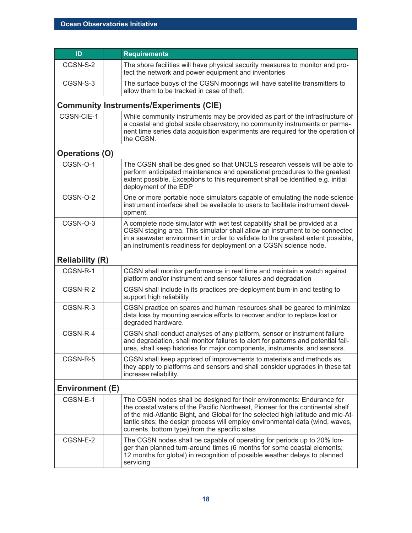| ID                     | <b>Requirements</b>                                                                                                                                                                                                                                                                                                                                                             |  |
|------------------------|---------------------------------------------------------------------------------------------------------------------------------------------------------------------------------------------------------------------------------------------------------------------------------------------------------------------------------------------------------------------------------|--|
| CGSN-S-2               | The shore facilities will have physical security measures to monitor and pro-<br>tect the network and power equipment and inventories                                                                                                                                                                                                                                           |  |
| CGSN-S-3               | The surface buoys of the CGSN moorings will have satellite transmitters to<br>allow them to be tracked in case of theft.                                                                                                                                                                                                                                                        |  |
|                        | <b>Community Instruments/Experiments (CIE)</b>                                                                                                                                                                                                                                                                                                                                  |  |
| CGSN-CIE-1             | While community instruments may be provided as part of the infrastructure of<br>a coastal and global scale observatory, no community instruments or perma-<br>nent time series data acquisition experiments are required for the operation of<br>the CGSN.                                                                                                                      |  |
| <b>Operations (O)</b>  |                                                                                                                                                                                                                                                                                                                                                                                 |  |
| CGSN-O-1               | The CGSN shall be designed so that UNOLS research vessels will be able to<br>perform anticipated maintenance and operational procedures to the greatest<br>extent possible. Exceptions to this requirement shall be identified e.g. initial<br>deployment of the EDP                                                                                                            |  |
| CGSN-O-2               | One or more portable node simulators capable of emulating the node science<br>instrument interface shall be available to users to facilitate instrument devel-<br>opment.                                                                                                                                                                                                       |  |
| CGSN-O-3               | A complete node simulator with wet test capability shall be provided at a<br>CGSN staging area. This simulator shall allow an instrument to be connected<br>in a seawater environment in order to validate to the greatest extent possible,<br>an instrument's readiness for deployment on a CGSN science node.                                                                 |  |
| <b>Reliability (R)</b> |                                                                                                                                                                                                                                                                                                                                                                                 |  |
| CGSN-R-1               | CGSN shall monitor performance in real time and maintain a watch against<br>platform and/or instrument and sensor failures and degradation                                                                                                                                                                                                                                      |  |
| CGSN-R-2               | CGSN shall include in its practices pre-deployment burn-in and testing to<br>support high reliability                                                                                                                                                                                                                                                                           |  |
| CGSN-R-3               | CGSN practice on spares and human resources shall be geared to minimize<br>data loss by mounting service efforts to recover and/or to replace lost or<br>degraded hardware.                                                                                                                                                                                                     |  |
| CGSN-R-4               | CGSN shall conduct analyses of any platform, sensor or instrument failure<br>and degradation, shall monitor failures to alert for patterns and potential fail-<br>ures, shall keep histories for major components, instruments, and sensors.                                                                                                                                    |  |
| CGSN-R-5               | CGSN shall keep apprised of improvements to materials and methods as<br>they apply to platforms and sensors and shall consider upgrades in these tat<br>increase reliability.                                                                                                                                                                                                   |  |
| Environment (E)        |                                                                                                                                                                                                                                                                                                                                                                                 |  |
| CGSN-E-1               | The CGSN nodes shall be designed for their environments: Endurance for<br>the coastal waters of the Pacific Northwest, Pioneer for the continental shelf<br>of the mid-Atlantic Bight, and Global for the selected high latitude and mid-At-<br>lantic sites; the design process will employ environmental data (wind, waves,<br>currents, bottom type) from the specific sites |  |
| CGSN-E-2               | The CGSN nodes shall be capable of operating for periods up to 20% lon-<br>ger than planned turn-around times (6 months for some coastal elements;<br>12 months for global) in recognition of possible weather delays to planned<br>servicing                                                                                                                                   |  |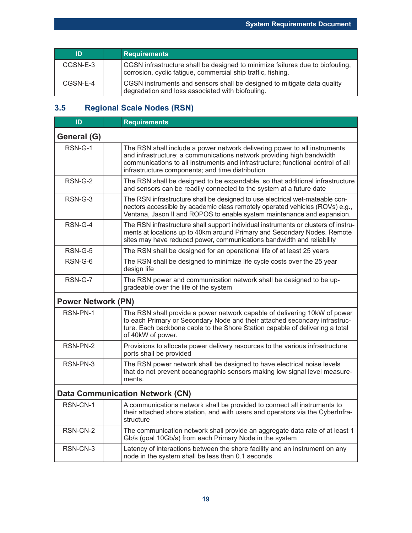| ID         | <b>Requirements</b>                                                                                                                           |
|------------|-----------------------------------------------------------------------------------------------------------------------------------------------|
| $CGSN-E-3$ | CGSN infrastructure shall be designed to minimize failures due to biofouling,<br>corrosion, cyclic fatigue, commercial ship traffic, fishing. |
| CGSN-E-4   | CGSN instruments and sensors shall be designed to mitigate data quality<br>degradation and loss associated with biofouling.                   |

### **3.5 Regional Scale Nodes (RSN)**

| ID                                     | <b>Requirements</b>                                                                                                                                                                                                                                                                       |  |
|----------------------------------------|-------------------------------------------------------------------------------------------------------------------------------------------------------------------------------------------------------------------------------------------------------------------------------------------|--|
| General (G)                            |                                                                                                                                                                                                                                                                                           |  |
| $RSN-G-1$                              | The RSN shall include a power network delivering power to all instruments<br>and infrastructure; a communications network providing high bandwidth<br>communications to all instruments and infrastructure; functional control of all<br>infrastructure components; and time distribution |  |
| RSN-G-2                                | The RSN shall be designed to be expandable, so that additional infrastructure<br>and sensors can be readily connected to the system at a future date                                                                                                                                      |  |
| $RSN-G-3$                              | The RSN infrastructure shall be designed to use electrical wet-mateable con-<br>nectors accessible by academic class remotely operated vehicles (ROVs) e.g.,<br>Ventana, Jason II and ROPOS to enable system maintenance and expansion.                                                   |  |
| RSN-G-4                                | The RSN infrastructure shall support individual instruments or clusters of instru-<br>ments at locations up to 40km around Primary and Secondary Nodes. Remote<br>sites may have reduced power, communications bandwidth and reliability                                                  |  |
| RSN-G-5                                | The RSN shall be designed for an operational life of at least 25 years                                                                                                                                                                                                                    |  |
| RSN-G-6                                | The RSN shall be designed to minimize life cycle costs over the 25 year<br>design life                                                                                                                                                                                                    |  |
| RSN-G-7                                | The RSN power and communication network shall be designed to be up-<br>gradeable over the life of the system                                                                                                                                                                              |  |
| <b>Power Network (PN)</b>              |                                                                                                                                                                                                                                                                                           |  |
| RSN-PN-1                               | The RSN shall provide a power network capable of delivering 10kW of power<br>to each Primary or Secondary Node and their attached secondary infrastruc-<br>ture. Each backbone cable to the Shore Station capable of delivering a total<br>of 40kW of power.                              |  |
| RSN-PN-2                               | Provisions to allocate power delivery resources to the various infrastructure<br>ports shall be provided                                                                                                                                                                                  |  |
| RSN-PN-3                               | The RSN power network shall be designed to have electrical noise levels<br>that do not prevent oceanographic sensors making low signal level measure-<br>ments.                                                                                                                           |  |
| <b>Data Communication Network (CN)</b> |                                                                                                                                                                                                                                                                                           |  |
| RSN-CN-1                               | A communications network shall be provided to connect all instruments to<br>their attached shore station, and with users and operators via the CyberInfra-<br>structure                                                                                                                   |  |
| RSN-CN-2                               | The communication network shall provide an aggregate data rate of at least 1<br>Gb/s (goal 10Gb/s) from each Primary Node in the system                                                                                                                                                   |  |
| RSN-CN-3                               | Latency of interactions between the shore facility and an instrument on any<br>node in the system shall be less than 0.1 seconds                                                                                                                                                          |  |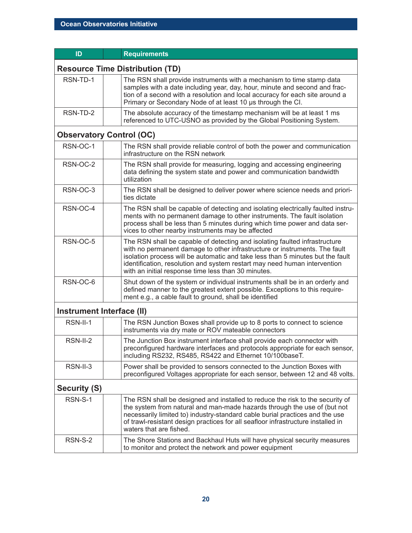| ID                        | <b>Requirements</b>                                                                                                                                                                                                                                                                                                                                                            |  |
|---------------------------|--------------------------------------------------------------------------------------------------------------------------------------------------------------------------------------------------------------------------------------------------------------------------------------------------------------------------------------------------------------------------------|--|
|                           | <b>Resource Time Distribution (TD)</b>                                                                                                                                                                                                                                                                                                                                         |  |
| RSN-TD-1                  | The RSN shall provide instruments with a mechanism to time stamp data<br>samples with a date including year, day, hour, minute and second and frac-<br>tion of a second with a resolution and local accuracy for each site around a<br>Primary or Secondary Node of at least 10 us through the CI.                                                                             |  |
| RSN-TD-2                  | The absolute accuracy of the timestamp mechanism will be at least 1 ms<br>referenced to UTC-USNO as provided by the Global Positioning System.                                                                                                                                                                                                                                 |  |
|                           | <b>Observatory Control (OC)</b>                                                                                                                                                                                                                                                                                                                                                |  |
| RSN-OC-1                  | The RSN shall provide reliable control of both the power and communication<br>infrastructure on the RSN network                                                                                                                                                                                                                                                                |  |
| RSN-OC-2                  | The RSN shall provide for measuring, logging and accessing engineering<br>data defining the system state and power and communication bandwidth<br>utilization                                                                                                                                                                                                                  |  |
| RSN-OC-3                  | The RSN shall be designed to deliver power where science needs and priori-<br>ties dictate                                                                                                                                                                                                                                                                                     |  |
| RSN-OC-4                  | The RSN shall be capable of detecting and isolating electrically faulted instru-<br>ments with no permanent damage to other instruments. The fault isolation<br>process shall be less than 5 minutes during which time power and data ser-<br>vices to other nearby instruments may be affected                                                                                |  |
| RSN-OC-5                  | The RSN shall be capable of detecting and isolating faulted infrastructure<br>with no permanent damage to other infrastructure or instruments. The fault<br>isolation process will be automatic and take less than 5 minutes but the fault<br>identification, resolution and system restart may need human intervention<br>with an initial response time less than 30 minutes. |  |
| RSN-OC-6                  | Shut down of the system or individual instruments shall be in an orderly and<br>defined manner to the greatest extent possible. Exceptions to this require-<br>ment e.g., a cable fault to ground, shall be identified                                                                                                                                                         |  |
| Instrument Interface (II) |                                                                                                                                                                                                                                                                                                                                                                                |  |
| RSN-II-1                  | The RSN Junction Boxes shall provide up to 8 ports to connect to science<br>instruments via dry mate or ROV mateable connectors                                                                                                                                                                                                                                                |  |
| RSN-II-2                  | The Junction Box instrument interface shall provide each connector with<br>preconfigured hardware interfaces and protocols appropriate for each sensor,<br>including RS232, RS485, RS422 and Ethernet 10/100baseT.                                                                                                                                                             |  |
| RSN-II-3                  | Power shall be provided to sensors connected to the Junction Boxes with<br>preconfigured Voltages appropriate for each sensor, between 12 and 48 volts.                                                                                                                                                                                                                        |  |
| <b>Security (S)</b>       |                                                                                                                                                                                                                                                                                                                                                                                |  |
| RSN-S-1                   | The RSN shall be designed and installed to reduce the risk to the security of<br>the system from natural and man-made hazards through the use of (but not<br>necessarily limited to) industry-standard cable burial practices and the use<br>of trawl-resistant design practices for all seafloor infrastructure installed in<br>waters that are fished.                       |  |
| RSN-S-2                   | The Shore Stations and Backhaul Huts will have physical security measures<br>to monitor and protect the network and power equipment                                                                                                                                                                                                                                            |  |